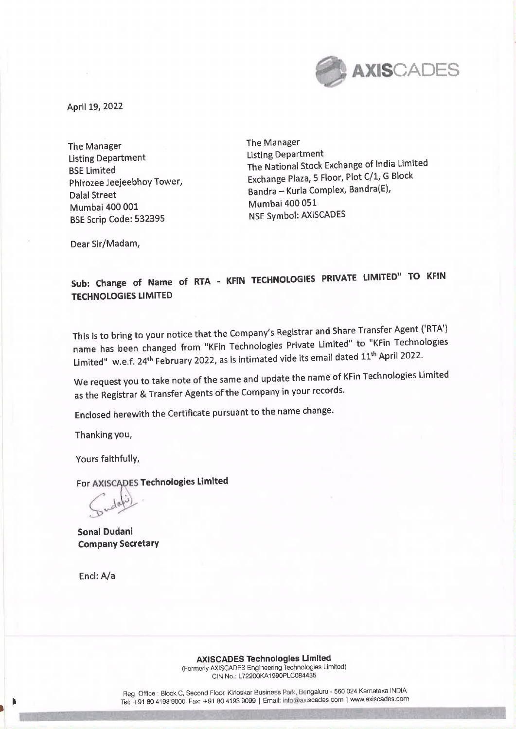

April 19, 2022

The Manager The Manager Listing Department Listing Department Mumbai 400 001 BSE Scrip Code: 532395 NSE Symbol: AXISCADES

BSE Limited The National Stock Exchange of India Limited Phirozee Jeejeebhoy Tower, Exchange Plaza, 5 Floor, Plot C/1, G Block Dalal Street **Bandra — Kurla Complex, Bandra**(E),<br>Mumbai 400 001 Mumbai 400 051

Dear Sir/Madam,

## Sub: Change of Name of RTA - KFIN TECHNOLOGIES PRIVATE LIMITED" TO KFIN TECHNOLOGIES LIMITED

This is to bring to your notice that the Company's Registrar and Share Transfer Agent ('RTA') name has been changed from "KFin Technologies Private Limited" to "KFin Technologies Limited" w.e.f. 24<sup>th</sup> February 2022, as is intimated vide its email dated 11<sup>th</sup> April 2022.

We request you to take note of the same and update the name of KFin Technologies Limited as the Registrar & Transfer Agents of the Company in your records.

Enclosed herewith the Certificate pursuant to the name change.

Thanking you,

Yours faithfully,

For AXISCADES Technologies Limited

 $\gamma$ 

Sonal Dudani Company Secretary

Encl: A/a

AXISCADES Technologles Limited (Formerly AXISCADES Engineering Technologies Limited) CIN No.; L72200KA1 990PLC084435

Reg. Office : Block C, Second Floor, Kirloskar Business Park, Bengaluru - 560 024 Karnataka INDIA Tel: +91 80 4193 9000 Fax: +91 80 4193 9099 | Email: info@axiscades.com | www.axiscades.com